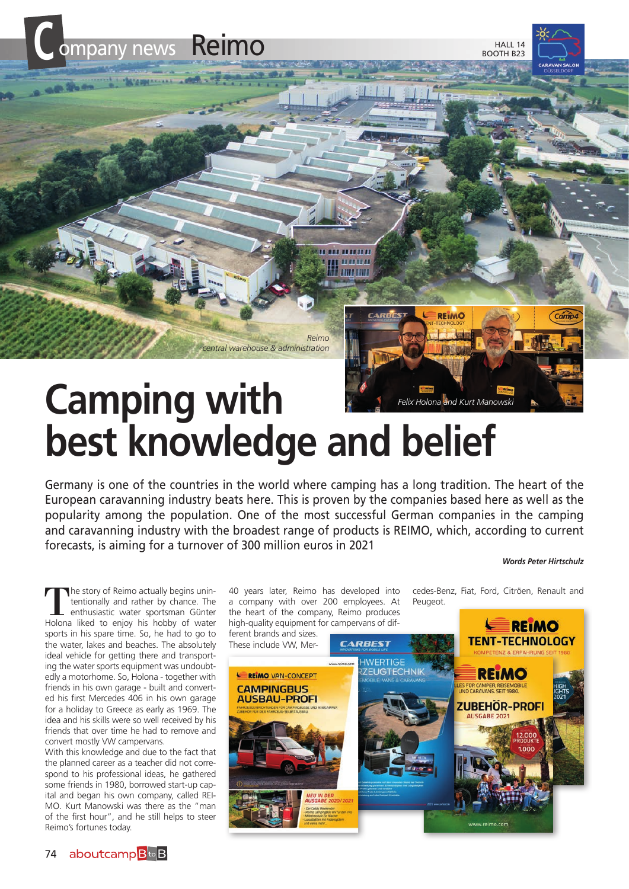

## **best knowledge and belief**

Germany is one of the countries in the world where camping has a long tradition. The heart of the European caravanning industry beats here. This is proven by the companies based here as well as the popularity among the population. One of the most successful German companies in the camping and caravanning industry with the broadest range of products is REIMO, which, according to current forecasts, is aiming for a turnover of 300 million euros in 2021

## *Words Peter Hirtschulz*

The story of Reimo actually begins unin-<br>tenthusiastic water sportsman Günter<br>Holona liked to enjoy bis bobby of water tentionally and rather by chance. The Holona liked to enjoy his hobby of water sports in his spare time. So, he had to go to the water, lakes and beaches. The absolutely ideal vehicle for getting there and transporting the water sports equipment was undoubtedly a motorhome. So, Holona - together with friends in his own garage - built and converted his first Mercedes 406 in his own garage for a holiday to Greece as early as 1969. The idea and his skills were so well received by his friends that over time he had to remove and convert mostly VW campervans.

With this knowledge and due to the fact that the planned career as a teacher did not correspond to his professional ideas, he gathered some friends in 1980, borrowed start-up capital and began his own company, called REI-MO. Kurt Manowski was there as the "man of the first hour", and he still helps to steer Reimo's fortunes today.

40 years later, Reimo has developed into a company with over 200 employees. At the heart of the company, Reimo produces high-quality equipment for campervans of dif-

cedes-Benz, Fiat, Ford, Citröen, Renault and Peugeot.